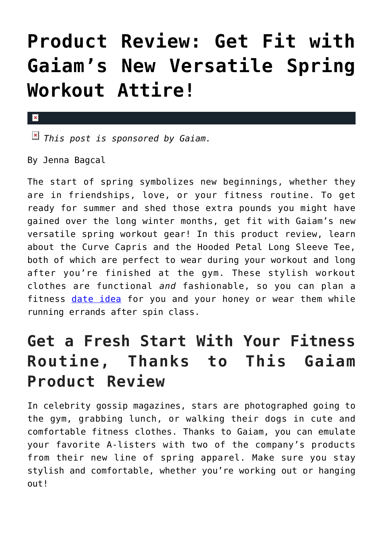## **[Product Review: Get Fit with](https://cupidspulse.com/90904/gaiam-product-review-spring-workout-attire/) [Gaiam's New Versatile Spring](https://cupidspulse.com/90904/gaiam-product-review-spring-workout-attire/) [Workout Attire!](https://cupidspulse.com/90904/gaiam-product-review-spring-workout-attire/)**

## $\mathbf{x}$

*This post is sponsored by Gaiam.* 

By Jenna Bagcal

The start of spring symbolizes new beginnings, whether they are in friendships, love, or your fitness routine. To get ready for summer and shed those extra pounds you might have gained over the long winter months, get fit with Gaiam's new versatile spring workout gear! In this product review, learn about the Curve Capris and the Hooded Petal Long Sleeve Tee, both of which are perfect to wear during your workout and long after you're finished at the gym. These stylish workout clothes are functional *and* fashionable, so you can plan a fitness [date idea](http://cupidspulse.com/dating/date-ideas/) for you and your honey or wear them while running errands after spin class.

## **Get a Fresh Start With Your Fitness Routine, Thanks to This Gaiam Product Review**

In celebrity gossip magazines, stars are photographed going to the gym, grabbing lunch, or walking their dogs in cute and comfortable fitness clothes. Thanks to Gaiam, you can emulate your favorite A-listers with two of the company's products from their new line of spring apparel. Make sure you stay stylish and comfortable, whether you're working out or hanging out<sup>1</sup>